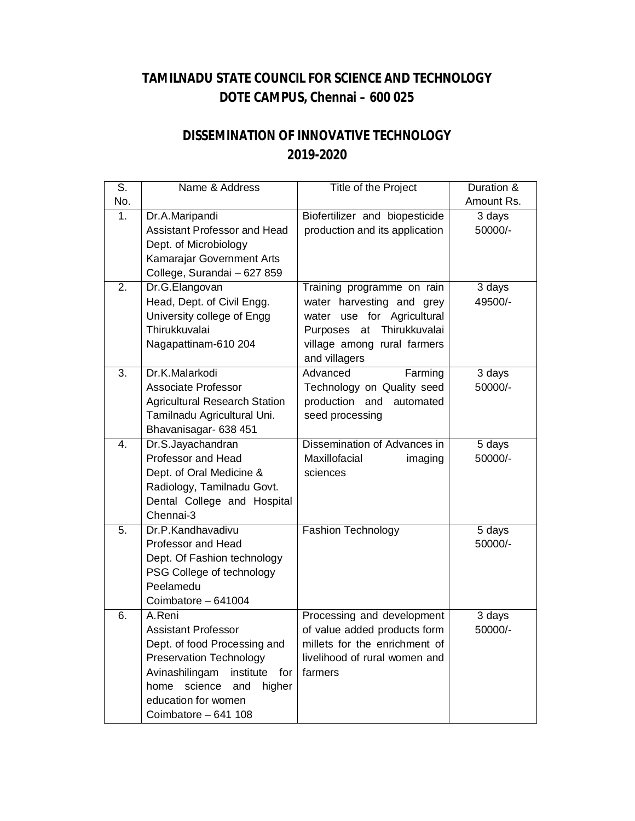## **TAMILNADU STATE COUNCIL FOR SCIENCE AND TECHNOLOGY DOTE CAMPUS, Chennai – 600 025**

## **DISSEMINATION OF INNOVATIVE TECHNOLOGY 2019-2020**

| $\overline{\mathsf{S}}$ . | Name & Address                       | Title of the Project                         | Duration &          |
|---------------------------|--------------------------------------|----------------------------------------------|---------------------|
| No.                       |                                      |                                              | Amount Rs.          |
| $\overline{1}$ .          | Dr.A.Maripandi                       | Biofertilizer and biopesticide               | 3 days              |
|                           | Assistant Professor and Head         | production and its application               | 50000/-             |
|                           | Dept. of Microbiology                |                                              |                     |
|                           | Kamarajar Government Arts            |                                              |                     |
|                           | College, Surandai - 627 859          |                                              |                     |
| $\overline{2}$ .          | Dr.G.Elangovan                       | Training programme on rain                   | $\overline{3}$ days |
|                           | Head, Dept. of Civil Engg.           | water harvesting and grey                    | 49500/-             |
|                           | University college of Engg           | water use for Agricultural                   |                     |
|                           | Thirukkuvalai                        | at<br>Thirukkuvalai<br>Purposes              |                     |
|                           | Nagapattinam-610 204                 | village among rural farmers<br>and villagers |                     |
| $\overline{3}$ .          | Dr.K.Malarkodi                       | Advanced<br>Farming                          | 3 days              |
|                           | <b>Associate Professor</b>           | Technology on Quality seed                   | 50000/-             |
|                           | <b>Agricultural Research Station</b> | production<br>and automated                  |                     |
|                           | Tamilnadu Agricultural Uni.          | seed processing                              |                     |
|                           | Bhavanisagar- 638 451                |                                              |                     |
| 4.                        | Dr.S.Jayachandran                    | Dissemination of Advances in                 | 5 days              |
|                           | Professor and Head                   | Maxillofacial<br>imaging                     | 50000/-             |
|                           | Dept. of Oral Medicine &             | sciences                                     |                     |
|                           | Radiology, Tamilnadu Govt.           |                                              |                     |
|                           | Dental College and Hospital          |                                              |                     |
|                           | Chennai-3                            |                                              |                     |
| $\overline{5}$            | Dr.P.Kandhavadivu                    | <b>Fashion Technology</b>                    | 5 days              |
|                           | Professor and Head                   |                                              | 50000/-             |
|                           | Dept. Of Fashion technology          |                                              |                     |
|                           | PSG College of technology            |                                              |                     |
|                           | Peelamedu<br>Coimbatore - 641004     |                                              |                     |
| 6.                        | A.Reni                               | Processing and development                   | 3 days              |
|                           | <b>Assistant Professor</b>           | of value added products form                 | 50000/-             |
|                           | Dept. of food Processing and         | millets for the enrichment of                |                     |
|                           | <b>Preservation Technology</b>       | livelihood of rural women and                |                     |
|                           | Avinashilingam<br>institute<br>for   | farmers                                      |                     |
|                           | science<br>home<br>higher<br>and     |                                              |                     |
|                           | education for women                  |                                              |                     |
|                           | Coimbatore - 641 108                 |                                              |                     |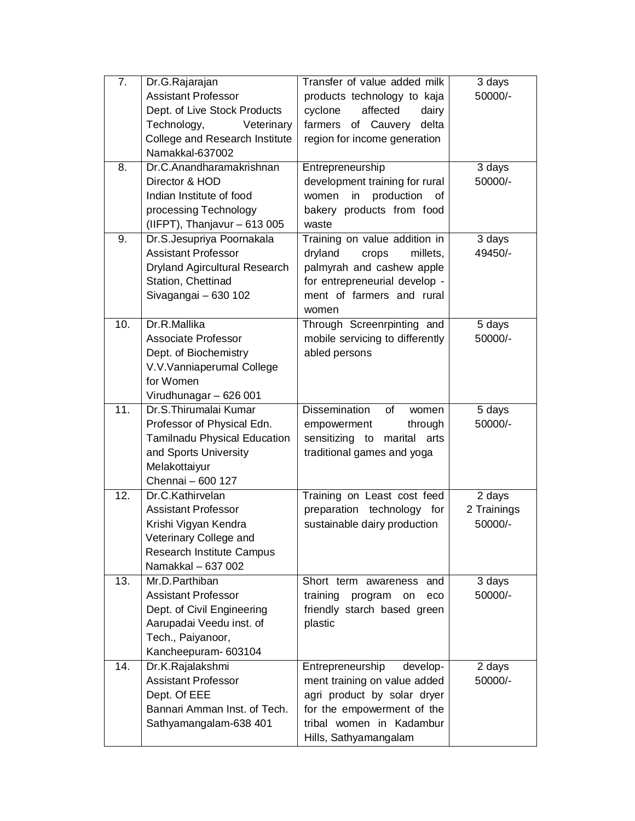| 7.                | Dr.G.Rajarajan                       | Transfer of value added milk        | 3 days      |
|-------------------|--------------------------------------|-------------------------------------|-------------|
|                   | <b>Assistant Professor</b>           | products technology to kaja         | 50000/-     |
|                   | Dept. of Live Stock Products         | affected<br>cyclone<br>dairy        |             |
|                   | Technology,<br>Veterinary            | farmers<br>of Cauvery<br>delta      |             |
|                   | College and Research Institute       | region for income generation        |             |
|                   | Namakkal-637002                      |                                     |             |
| 8.                | Dr.C.Anandharamakrishnan             | Entrepreneurship                    | 3 days      |
|                   | Director & HOD                       | development training for rural      | 50000/-     |
|                   | Indian Institute of food             | in<br>production<br>women<br>0f     |             |
|                   | processing Technology                | bakery products from food           |             |
|                   | (IIFPT), Thanjavur $-613005$         | waste                               |             |
| 9.                | Dr.S.Jesupriya Poornakala            | Training on value addition in       | 3 days      |
|                   | <b>Assistant Professor</b>           | dryland<br>crops<br>millets,        | 49450/-     |
|                   | <b>Dryland Agircultural Research</b> | palmyrah and cashew apple           |             |
|                   | Station, Chettinad                   | for entrepreneurial develop -       |             |
|                   | Sivagangai - 630 102                 | ment of farmers and rural           |             |
|                   |                                      | women                               |             |
| 10.               | Dr.R.Mallika                         | Through Screenrpinting and          | 5 days      |
|                   | <b>Associate Professor</b>           | mobile servicing to differently     | 50000/-     |
|                   | Dept. of Biochemistry                | abled persons                       |             |
|                   | V.V.Vanniaperumal College            |                                     |             |
|                   | for Women                            |                                     |             |
|                   | Virudhunagar - 626 001               |                                     |             |
| $\overline{11}$ . | Dr.S.Thirumalai Kumar                | <b>Dissemination</b><br>of<br>women | 5 days      |
|                   | Professor of Physical Edn.           | empowerment<br>through              | 50000/-     |
|                   | <b>Tamilnadu Physical Education</b>  | sensitizing to marital<br>arts      |             |
|                   | and Sports University                | traditional games and yoga          |             |
|                   | Melakottaiyur                        |                                     |             |
|                   | Chennai - 600 127                    |                                     |             |
| $\overline{12}$ . | Dr.C.Kathirvelan                     | Training on Least cost feed         | 2 days      |
|                   | <b>Assistant Professor</b>           | preparation technology<br>for       | 2 Trainings |
|                   | Krishi Vigyan Kendra                 | sustainable dairy production        | 50000/-     |
|                   | Veterinary College and               |                                     |             |
|                   | Research Institute Campus            |                                     |             |
|                   | Namakkal - 637 002                   |                                     |             |
| 13.               | Mr.D.Parthiban                       | Short term awareness and            | 3 days      |
|                   | <b>Assistant Professor</b>           | training<br>program<br>on<br>eco    | 50000/-     |
|                   | Dept. of Civil Engineering           | friendly starch based green         |             |
|                   | Aarupadai Veedu inst. of             | plastic                             |             |
|                   | Tech., Paiyanoor,                    |                                     |             |
|                   | Kancheepuram- 603104                 |                                     |             |
| 14.               | Dr.K.Rajalakshmi                     | Entrepreneurship<br>develop-        | 2 days      |
|                   | <b>Assistant Professor</b>           | ment training on value added        | 50000/-     |
|                   | Dept. Of EEE                         | agri product by solar dryer         |             |
|                   | Bannari Amman Inst. of Tech.         | for the empowerment of the          |             |
|                   | Sathyamangalam-638 401               | tribal women in Kadambur            |             |
|                   |                                      | Hills, Sathyamangalam               |             |